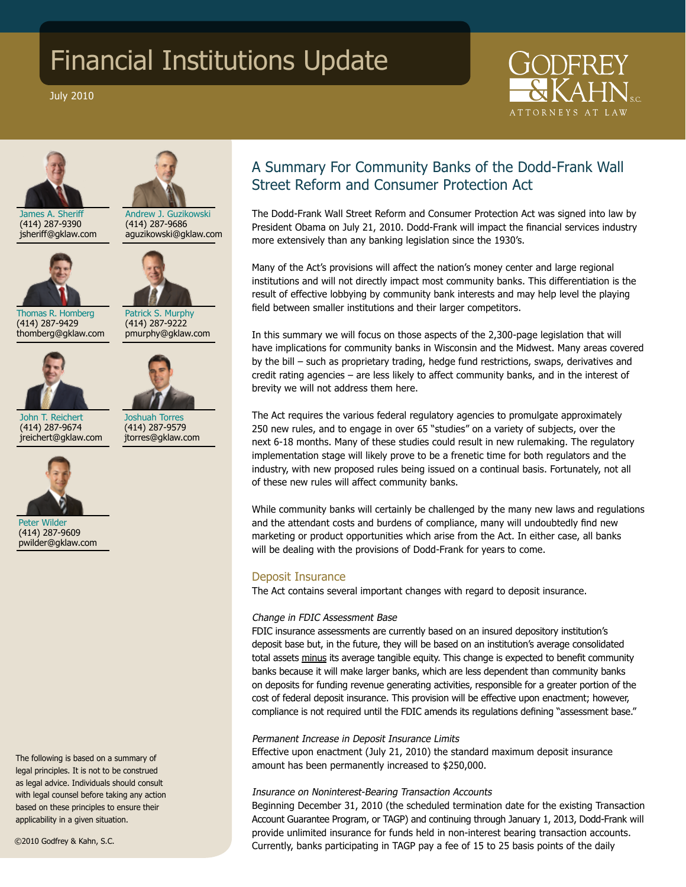# Financial Institutions Update

July 2010





Andrew J. Guzikowski

James A. Sheriff (414) 287-9390 jsheriff@gklaw.com



(414) 287-9686 aguzikowski@gklaw.com



Thomas R. Homberg (414) 287-9429 thomberg@gklaw.com



Joshuah Torres (414) 287-9579 jtorres@gklaw.com

(414) 287-9222 pmurphy@gklaw.com

John T. Reichert (414) 287-9674 jreichert@gklaw.com



Peter Wilder (414) 287-9609 pwilder@gklaw.com

The following is based on a summary of legal principles. It is not to be construed as legal advice. Individuals should consult with legal counsel before taking any action based on these principles to ensure their applicability in a given situation.

©2010 Godfrey & Kahn, S.C.

# A Summary For Community Banks of the Dodd-Frank Wall Street Reform and Consumer Protection Act

The Dodd-Frank Wall Street Reform and Consumer Protection Act was signed into law by President Obama on July 21, 2010. Dodd-Frank will impact the financial services industry more extensively than any banking legislation since the 1930's.

Many of the Act's provisions will affect the nation's money center and large regional institutions and will not directly impact most community banks. This differentiation is the result of effective lobbying by community bank interests and may help level the playing field between smaller institutions and their larger competitors.

In this summary we will focus on those aspects of the 2,300-page legislation that will have implications for community banks in Wisconsin and the Midwest. Many areas covered by the bill – such as proprietary trading, hedge fund restrictions, swaps, derivatives and credit rating agencies – are less likely to affect community banks, and in the interest of brevity we will not address them here.

The Act requires the various federal regulatory agencies to promulgate approximately 250 new rules, and to engage in over 65 "studies" on a variety of subjects, over the next 6-18 months. Many of these studies could result in new rulemaking. The regulatory implementation stage will likely prove to be a frenetic time for both regulators and the industry, with new proposed rules being issued on a continual basis. Fortunately, not all of these new rules will affect community banks.

While community banks will certainly be challenged by the many new laws and regulations and the attendant costs and burdens of compliance, many will undoubtedly find new marketing or product opportunities which arise from the Act. In either case, all banks will be dealing with the provisions of Dodd-Frank for years to come.

# Deposit Insurance

The Act contains several important changes with regard to deposit insurance.

# Change in FDIC Assessment Base

FDIC insurance assessments are currently based on an insured depository institution's deposit base but, in the future, they will be based on an institution's average consolidated total assets minus its average tangible equity. This change is expected to benefit community banks because it will make larger banks, which are less dependent than community banks on deposits for funding revenue generating activities, responsible for a greater portion of the cost of federal deposit insurance. This provision will be effective upon enactment; however, compliance is not required until the FDIC amends its regulations defining "assessment base."

# Permanent Increase in Deposit Insurance Limits

Effective upon enactment (July 21, 2010) the standard maximum deposit insurance amount has been permanently increased to \$250,000.

# Insurance on Noninterest-Bearing Transaction Accounts

Beginning December 31, 2010 (the scheduled termination date for the existing Transaction Account Guarantee Program, or TAGP) and continuing through January 1, 2013, Dodd-Frank will provide unlimited insurance for funds held in non-interest bearing transaction accounts. Currently, banks participating in TAGP pay a fee of 15 to 25 basis points of the daily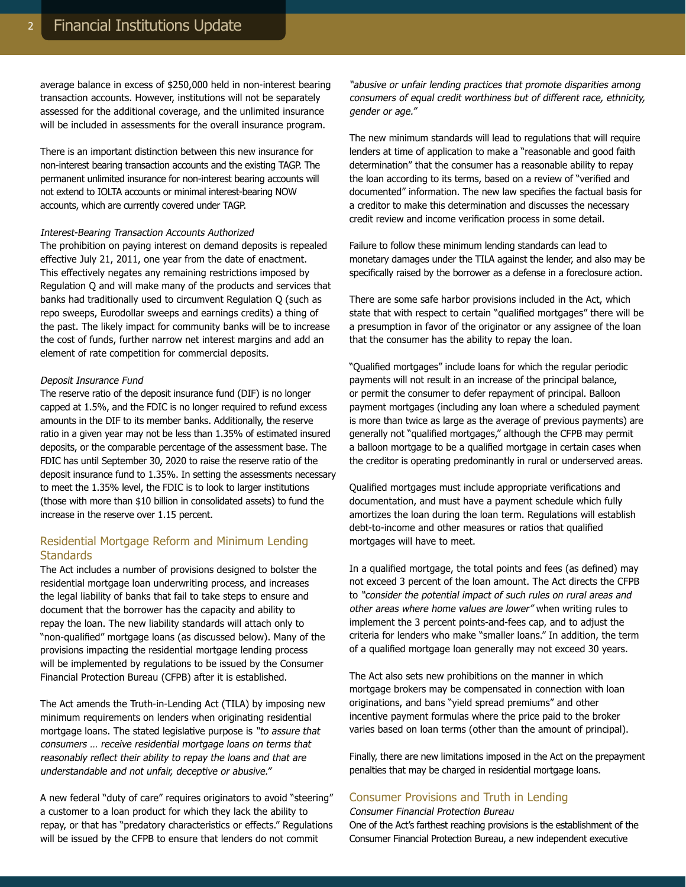average balance in excess of \$250,000 held in non-interest bearing transaction accounts. However, institutions will not be separately assessed for the additional coverage, and the unlimited insurance will be included in assessments for the overall insurance program.

There is an important distinction between this new insurance for non-interest bearing transaction accounts and the existing TAGP. The permanent unlimited insurance for non-interest bearing accounts will not extend to IOLTA accounts or minimal interest-bearing NOW accounts, which are currently covered under TAGP.

#### Interest-Bearing Transaction Accounts Authorized

The prohibition on paying interest on demand deposits is repealed effective July 21, 2011, one year from the date of enactment. This effectively negates any remaining restrictions imposed by Regulation Q and will make many of the products and services that banks had traditionally used to circumvent Regulation Q (such as repo sweeps, Eurodollar sweeps and earnings credits) a thing of the past. The likely impact for community banks will be to increase the cost of funds, further narrow net interest margins and add an element of rate competition for commercial deposits.

#### Deposit Insurance Fund

The reserve ratio of the deposit insurance fund (DIF) is no longer capped at 1.5%, and the FDIC is no longer required to refund excess amounts in the DIF to its member banks. Additionally, the reserve ratio in a given year may not be less than 1.35% of estimated insured deposits, or the comparable percentage of the assessment base. The FDIC has until September 30, 2020 to raise the reserve ratio of the deposit insurance fund to 1.35%. In setting the assessments necessary to meet the 1.35% level, the FDIC is to look to larger institutions (those with more than \$10 billion in consolidated assets) to fund the increase in the reserve over 1.15 percent.

# Residential Mortgage Reform and Minimum Lending **Standards**

The Act includes a number of provisions designed to bolster the residential mortgage loan underwriting process, and increases the legal liability of banks that fail to take steps to ensure and document that the borrower has the capacity and ability to repay the loan. The new liability standards will attach only to "non-qualified" mortgage loans (as discussed below). Many of the provisions impacting the residential mortgage lending process will be implemented by regulations to be issued by the Consumer Financial Protection Bureau (CFPB) after it is established.

The Act amends the Truth-in-Lending Act (TILA) by imposing new minimum requirements on lenders when originating residential mortgage loans. The stated legislative purpose is "to assure that consumers … receive residential mortgage loans on terms that reasonably reflect their ability to repay the loans and that are understandable and not unfair, deceptive or abusive."

A new federal "duty of care" requires originators to avoid "steering" a customer to a loan product for which they lack the ability to repay, or that has "predatory characteristics or effects." Regulations will be issued by the CFPB to ensure that lenders do not commit

"abusive or unfair lending practices that promote disparities among consumers of equal credit worthiness but of different race, ethnicity, gender or age."

The new minimum standards will lead to regulations that will require lenders at time of application to make a "reasonable and good faith determination" that the consumer has a reasonable ability to repay the loan according to its terms, based on a review of "verified and documented" information. The new law specifies the factual basis for a creditor to make this determination and discusses the necessary credit review and income verification process in some detail.

Failure to follow these minimum lending standards can lead to monetary damages under the TILA against the lender, and also may be specifically raised by the borrower as a defense in a foreclosure action.

There are some safe harbor provisions included in the Act, which state that with respect to certain "qualified mortgages" there will be a presumption in favor of the originator or any assignee of the loan that the consumer has the ability to repay the loan.

"Qualified mortgages" include loans for which the regular periodic payments will not result in an increase of the principal balance, or permit the consumer to defer repayment of principal. Balloon payment mortgages (including any loan where a scheduled payment is more than twice as large as the average of previous payments) are generally not "qualified mortgages," although the CFPB may permit a balloon mortgage to be a qualified mortgage in certain cases when the creditor is operating predominantly in rural or underserved areas.

Qualified mortgages must include appropriate verifications and documentation, and must have a payment schedule which fully amortizes the loan during the loan term. Regulations will establish debt-to-income and other measures or ratios that qualified mortgages will have to meet.

In a qualified mortgage, the total points and fees (as defined) may not exceed 3 percent of the loan amount. The Act directs the CFPB to "consider the potential impact of such rules on rural areas and other areas where home values are lower" when writing rules to implement the 3 percent points-and-fees cap, and to adjust the criteria for lenders who make "smaller loans." In addition, the term of a qualified mortgage loan generally may not exceed 30 years.

The Act also sets new prohibitions on the manner in which mortgage brokers may be compensated in connection with loan originations, and bans "yield spread premiums" and other incentive payment formulas where the price paid to the broker varies based on loan terms (other than the amount of principal).

Finally, there are new limitations imposed in the Act on the prepayment penalties that may be charged in residential mortgage loans.

# Consumer Provisions and Truth in Lending

Consumer Financial Protection Bureau

One of the Act's farthest reaching provisions is the establishment of the Consumer Financial Protection Bureau, a new independent executive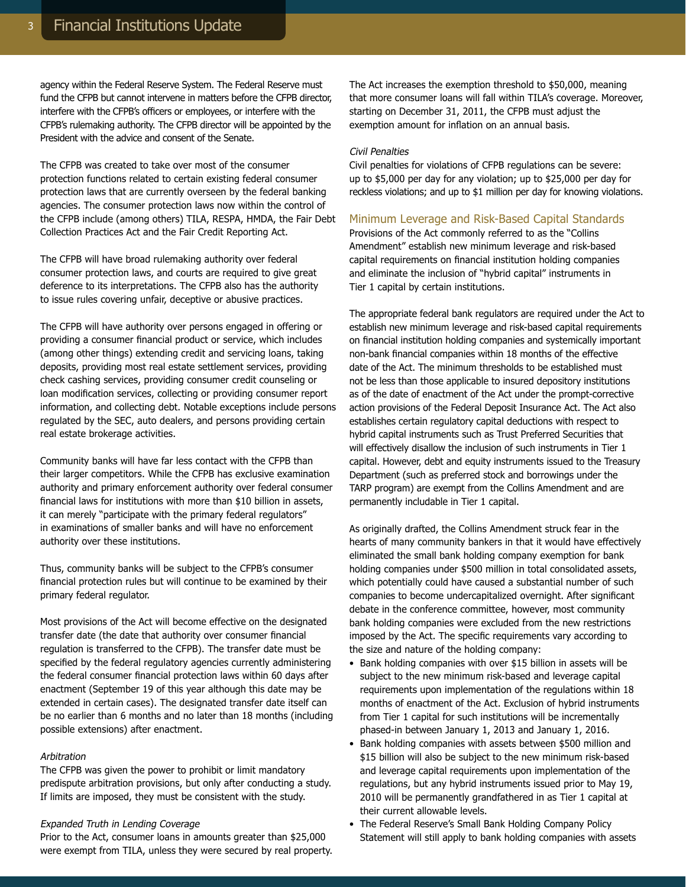agency within the Federal Reserve System. The Federal Reserve must fund the CFPB but cannot intervene in matters before the CFPB director, interfere with the CFPB's officers or employees, or interfere with the CFPB's rulemaking authority. The CFPB director will be appointed by the President with the advice and consent of the Senate.

The CFPB was created to take over most of the consumer protection functions related to certain existing federal consumer protection laws that are currently overseen by the federal banking agencies. The consumer protection laws now within the control of the CFPB include (among others) TILA, RESPA, HMDA, the Fair Debt Collection Practices Act and the Fair Credit Reporting Act.

The CFPB will have broad rulemaking authority over federal consumer protection laws, and courts are required to give great deference to its interpretations. The CFPB also has the authority to issue rules covering unfair, deceptive or abusive practices.

The CFPB will have authority over persons engaged in offering or providing a consumer financial product or service, which includes (among other things) extending credit and servicing loans, taking deposits, providing most real estate settlement services, providing check cashing services, providing consumer credit counseling or loan modification services, collecting or providing consumer report information, and collecting debt. Notable exceptions include persons regulated by the SEC, auto dealers, and persons providing certain real estate brokerage activities.

Community banks will have far less contact with the CFPB than their larger competitors. While the CFPB has exclusive examination authority and primary enforcement authority over federal consumer financial laws for institutions with more than \$10 billion in assets, it can merely "participate with the primary federal regulators" in examinations of smaller banks and will have no enforcement authority over these institutions.

Thus, community banks will be subject to the CFPB's consumer financial protection rules but will continue to be examined by their primary federal regulator.

Most provisions of the Act will become effective on the designated transfer date (the date that authority over consumer financial regulation is transferred to the CFPB). The transfer date must be specified by the federal regulatory agencies currently administering the federal consumer financial protection laws within 60 days after enactment (September 19 of this year although this date may be extended in certain cases). The designated transfer date itself can be no earlier than 6 months and no later than 18 months (including possible extensions) after enactment.

#### Arbitration

The CFPB was given the power to prohibit or limit mandatory predispute arbitration provisions, but only after conducting a study. If limits are imposed, they must be consistent with the study.

#### Expanded Truth in Lending Coverage

Prior to the Act, consumer loans in amounts greater than \$25,000 were exempt from TILA, unless they were secured by real property. The Act increases the exemption threshold to \$50,000, meaning that more consumer loans will fall within TILA's coverage. Moreover, starting on December 31, 2011, the CFPB must adjust the exemption amount for inflation on an annual basis.

#### Civil Penalties

Civil penalties for violations of CFPB regulations can be severe: up to \$5,000 per day for any violation; up to \$25,000 per day for reckless violations; and up to \$1 million per day for knowing violations.

#### Minimum Leverage and Risk-Based Capital Standards

Provisions of the Act commonly referred to as the "Collins Amendment" establish new minimum leverage and risk-based capital requirements on financial institution holding companies and eliminate the inclusion of "hybrid capital" instruments in Tier 1 capital by certain institutions.

The appropriate federal bank regulators are required under the Act to establish new minimum leverage and risk-based capital requirements on financial institution holding companies and systemically important non-bank financial companies within 18 months of the effective date of the Act. The minimum thresholds to be established must not be less than those applicable to insured depository institutions as of the date of enactment of the Act under the prompt-corrective action provisions of the Federal Deposit Insurance Act. The Act also establishes certain regulatory capital deductions with respect to hybrid capital instruments such as Trust Preferred Securities that will effectively disallow the inclusion of such instruments in Tier 1 capital. However, debt and equity instruments issued to the Treasury Department (such as preferred stock and borrowings under the TARP program) are exempt from the Collins Amendment and are permanently includable in Tier 1 capital.

As originally drafted, the Collins Amendment struck fear in the hearts of many community bankers in that it would have effectively eliminated the small bank holding company exemption for bank holding companies under \$500 million in total consolidated assets, which potentially could have caused a substantial number of such companies to become undercapitalized overnight. After significant debate in the conference committee, however, most community bank holding companies were excluded from the new restrictions imposed by the Act. The specific requirements vary according to the size and nature of the holding company:

- Bank holding companies with over \$15 billion in assets will be subject to the new minimum risk-based and leverage capital requirements upon implementation of the regulations within 18 months of enactment of the Act. Exclusion of hybrid instruments from Tier 1 capital for such institutions will be incrementally phased-in between January 1, 2013 and January 1, 2016.
- Bank holding companies with assets between \$500 million and \$15 billion will also be subject to the new minimum risk-based and leverage capital requirements upon implementation of the regulations, but any hybrid instruments issued prior to May 19, 2010 will be permanently grandfathered in as Tier 1 capital at their current allowable levels.
- The Federal Reserve's Small Bank Holding Company Policy Statement will still apply to bank holding companies with assets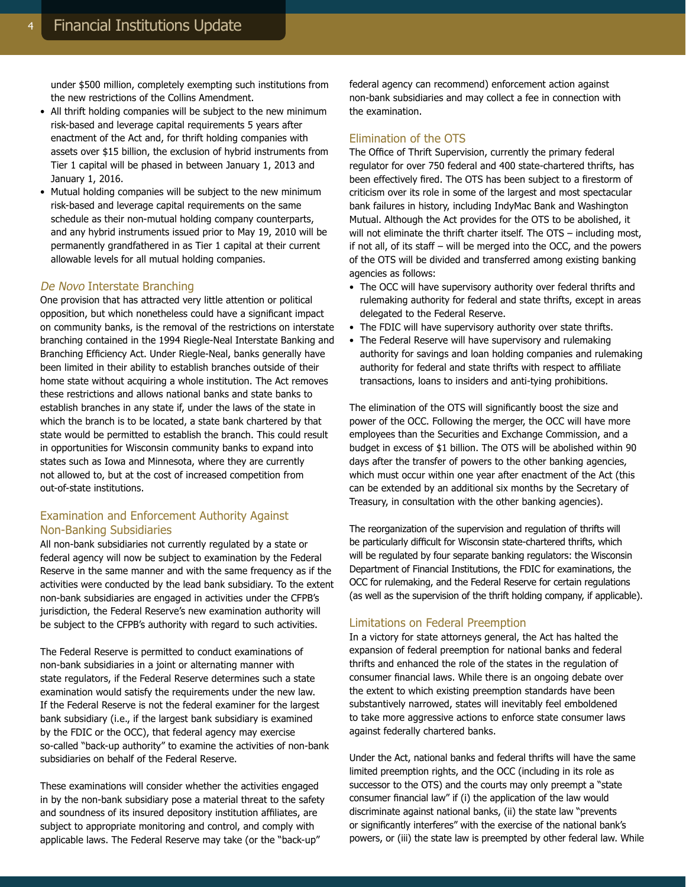under \$500 million, completely exempting such institutions from the new restrictions of the Collins Amendment.

- All thrift holding companies will be subject to the new minimum risk-based and leverage capital requirements 5 years after enactment of the Act and, for thrift holding companies with assets over \$15 billion, the exclusion of hybrid instruments from Tier 1 capital will be phased in between January 1, 2013 and January 1, 2016.
- Mutual holding companies will be subject to the new minimum risk-based and leverage capital requirements on the same schedule as their non-mutual holding company counterparts, and any hybrid instruments issued prior to May 19, 2010 will be permanently grandfathered in as Tier 1 capital at their current allowable levels for all mutual holding companies.

#### De Novo Interstate Branching

One provision that has attracted very little attention or political opposition, but which nonetheless could have a significant impact on community banks, is the removal of the restrictions on interstate branching contained in the 1994 Riegle-Neal Interstate Banking and Branching Efficiency Act. Under Riegle-Neal, banks generally have been limited in their ability to establish branches outside of their home state without acquiring a whole institution. The Act removes these restrictions and allows national banks and state banks to establish branches in any state if, under the laws of the state in which the branch is to be located, a state bank chartered by that state would be permitted to establish the branch. This could result in opportunities for Wisconsin community banks to expand into states such as Iowa and Minnesota, where they are currently not allowed to, but at the cost of increased competition from out-of-state institutions.

# Examination and Enforcement Authority Against Non-Banking Subsidiaries

All non-bank subsidiaries not currently regulated by a state or federal agency will now be subject to examination by the Federal Reserve in the same manner and with the same frequency as if the activities were conducted by the lead bank subsidiary. To the extent non-bank subsidiaries are engaged in activities under the CFPB's jurisdiction, the Federal Reserve's new examination authority will be subject to the CFPB's authority with regard to such activities.

The Federal Reserve is permitted to conduct examinations of non-bank subsidiaries in a joint or alternating manner with state regulators, if the Federal Reserve determines such a state examination would satisfy the requirements under the new law. If the Federal Reserve is not the federal examiner for the largest bank subsidiary (i.e., if the largest bank subsidiary is examined by the FDIC or the OCC), that federal agency may exercise so-called "back-up authority" to examine the activities of non-bank subsidiaries on behalf of the Federal Reserve.

These examinations will consider whether the activities engaged in by the non-bank subsidiary pose a material threat to the safety and soundness of its insured depository institution affiliates, are subject to appropriate monitoring and control, and comply with applicable laws. The Federal Reserve may take (or the "back-up"

federal agency can recommend) enforcement action against non-bank subsidiaries and may collect a fee in connection with the examination.

# Elimination of the OTS

The Office of Thrift Supervision, currently the primary federal regulator for over 750 federal and 400 state-chartered thrifts, has been effectively fired. The OTS has been subject to a firestorm of criticism over its role in some of the largest and most spectacular bank failures in history, including IndyMac Bank and Washington Mutual. Although the Act provides for the OTS to be abolished, it will not eliminate the thrift charter itself. The OTS - including most, if not all, of its staff – will be merged into the OCC, and the powers of the OTS will be divided and transferred among existing banking agencies as follows:

- The OCC will have supervisory authority over federal thrifts and rulemaking authority for federal and state thrifts, except in areas delegated to the Federal Reserve.
- The FDIC will have supervisory authority over state thrifts.
- The Federal Reserve will have supervisory and rulemaking authority for savings and loan holding companies and rulemaking authority for federal and state thrifts with respect to affiliate transactions, loans to insiders and anti-tying prohibitions.

The elimination of the OTS will significantly boost the size and power of the OCC. Following the merger, the OCC will have more employees than the Securities and Exchange Commission, and a budget in excess of \$1 billion. The OTS will be abolished within 90 days after the transfer of powers to the other banking agencies, which must occur within one year after enactment of the Act (this can be extended by an additional six months by the Secretary of Treasury, in consultation with the other banking agencies).

The reorganization of the supervision and regulation of thrifts will be particularly difficult for Wisconsin state-chartered thrifts, which will be regulated by four separate banking regulators: the Wisconsin Department of Financial Institutions, the FDIC for examinations, the OCC for rulemaking, and the Federal Reserve for certain regulations (as well as the supervision of the thrift holding company, if applicable).

#### Limitations on Federal Preemption

In a victory for state attorneys general, the Act has halted the expansion of federal preemption for national banks and federal thrifts and enhanced the role of the states in the regulation of consumer financial laws. While there is an ongoing debate over the extent to which existing preemption standards have been substantively narrowed, states will inevitably feel emboldened to take more aggressive actions to enforce state consumer laws against federally chartered banks.

Under the Act, national banks and federal thrifts will have the same limited preemption rights, and the OCC (including in its role as successor to the OTS) and the courts may only preempt a "state" consumer financial law" if (i) the application of the law would discriminate against national banks, (ii) the state law "prevents or significantly interferes" with the exercise of the national bank's powers, or (iii) the state law is preempted by other federal law. While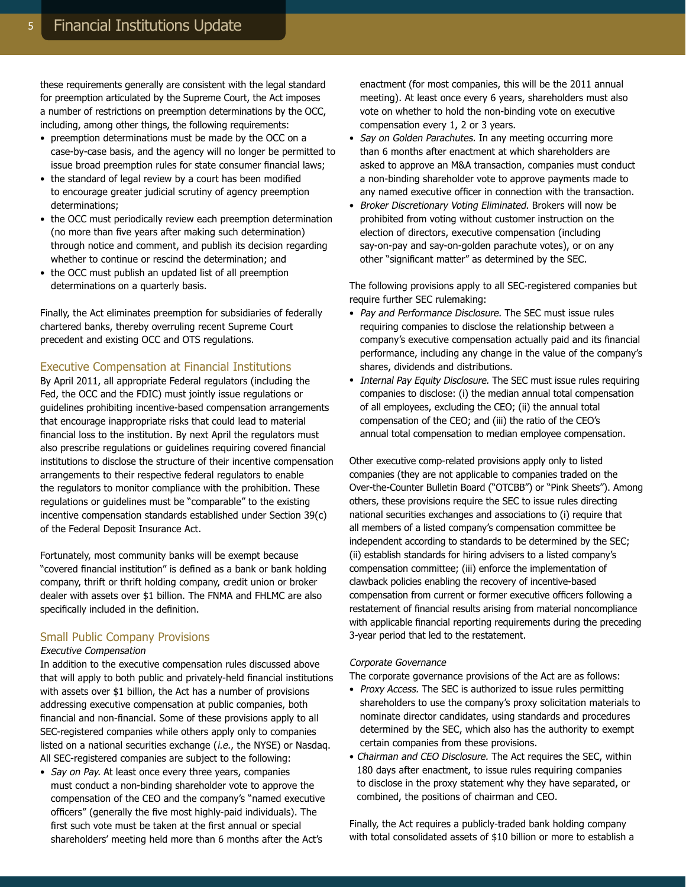these requirements generally are consistent with the legal standard for preemption articulated by the Supreme Court, the Act imposes a number of restrictions on preemption determinations by the OCC, including, among other things, the following requirements:

- preemption determinations must be made by the OCC on a case-by-case basis, and the agency will no longer be permitted to issue broad preemption rules for state consumer financial laws;
- the standard of legal review by a court has been modified to encourage greater judicial scrutiny of agency preemption determinations;
- the OCC must periodically review each preemption determination (no more than five years after making such determination) through notice and comment, and publish its decision regarding whether to continue or rescind the determination; and
- the OCC must publish an updated list of all preemption determinations on a quarterly basis.

Finally, the Act eliminates preemption for subsidiaries of federally chartered banks, thereby overruling recent Supreme Court precedent and existing OCC and OTS regulations.

### Executive Compensation at Financial Institutions

By April 2011, all appropriate Federal regulators (including the Fed, the OCC and the FDIC) must jointly issue regulations or guidelines prohibiting incentive-based compensation arrangements that encourage inappropriate risks that could lead to material financial loss to the institution. By next April the regulators must also prescribe regulations or guidelines requiring covered financial institutions to disclose the structure of their incentive compensation arrangements to their respective federal regulators to enable the regulators to monitor compliance with the prohibition. These regulations or guidelines must be "comparable" to the existing incentive compensation standards established under Section 39(c) of the Federal Deposit Insurance Act.

Fortunately, most community banks will be exempt because "covered financial institution" is defined as a bank or bank holding company, thrift or thrift holding company, credit union or broker dealer with assets over \$1 billion. The FNMA and FHLMC are also specifically included in the definition.

#### Small Public Company Provisions

#### Executive Compensation

In addition to the executive compensation rules discussed above that will apply to both public and privately-held financial institutions with assets over \$1 billion, the Act has a number of provisions addressing executive compensation at public companies, both financial and non-financial. Some of these provisions apply to all SEC-registered companies while others apply only to companies listed on a national securities exchange (*i.e.*, the NYSE) or Nasdag. All SEC-registered companies are subject to the following:

• Say on Pay. At least once every three years, companies must conduct a non-binding shareholder vote to approve the compensation of the CEO and the company's "named executive officers" (generally the five most highly-paid individuals). The first such vote must be taken at the first annual or special shareholders' meeting held more than 6 months after the Act's

enactment (for most companies, this will be the 2011 annual meeting). At least once every 6 years, shareholders must also vote on whether to hold the non-binding vote on executive compensation every 1, 2 or 3 years.

- Say on Golden Parachutes. In any meeting occurring more than 6 months after enactment at which shareholders are asked to approve an M&A transaction, companies must conduct a non-binding shareholder vote to approve payments made to any named executive officer in connection with the transaction.
- Broker Discretionary Voting Eliminated. Brokers will now be prohibited from voting without customer instruction on the election of directors, executive compensation (including say-on-pay and say-on-golden parachute votes), or on any other "significant matter" as determined by the SEC.

The following provisions apply to all SEC-registered companies but require further SEC rulemaking:

- Pay and Performance Disclosure. The SEC must issue rules requiring companies to disclose the relationship between a company's executive compensation actually paid and its financial performance, including any change in the value of the company's shares, dividends and distributions.
- Internal Pay Equity Disclosure. The SEC must issue rules requiring companies to disclose: (i) the median annual total compensation of all employees, excluding the CEO; (ii) the annual total compensation of the CEO; and (iii) the ratio of the CEO's annual total compensation to median employee compensation.

Other executive comp-related provisions apply only to listed companies (they are not applicable to companies traded on the Over-the-Counter Bulletin Board ("OTCBB") or "Pink Sheets"). Among others, these provisions require the SEC to issue rules directing national securities exchanges and associations to (i) require that all members of a listed company's compensation committee be independent according to standards to be determined by the SEC; (ii) establish standards for hiring advisers to a listed company's compensation committee; (iii) enforce the implementation of clawback policies enabling the recovery of incentive-based compensation from current or former executive officers following a restatement of financial results arising from material noncompliance with applicable financial reporting requirements during the preceding 3-year period that led to the restatement.

#### Corporate Governance

The corporate governance provisions of the Act are as follows:

- Proxy Access. The SEC is authorized to issue rules permitting shareholders to use the company's proxy solicitation materials to nominate director candidates, using standards and procedures determined by the SEC, which also has the authority to exempt certain companies from these provisions.
- Chairman and CEO Disclosure. The Act requires the SEC, within 180 days after enactment, to issue rules requiring companies to disclose in the proxy statement why they have separated, or combined, the positions of chairman and CEO.

Finally, the Act requires a publicly-traded bank holding company with total consolidated assets of \$10 billion or more to establish a